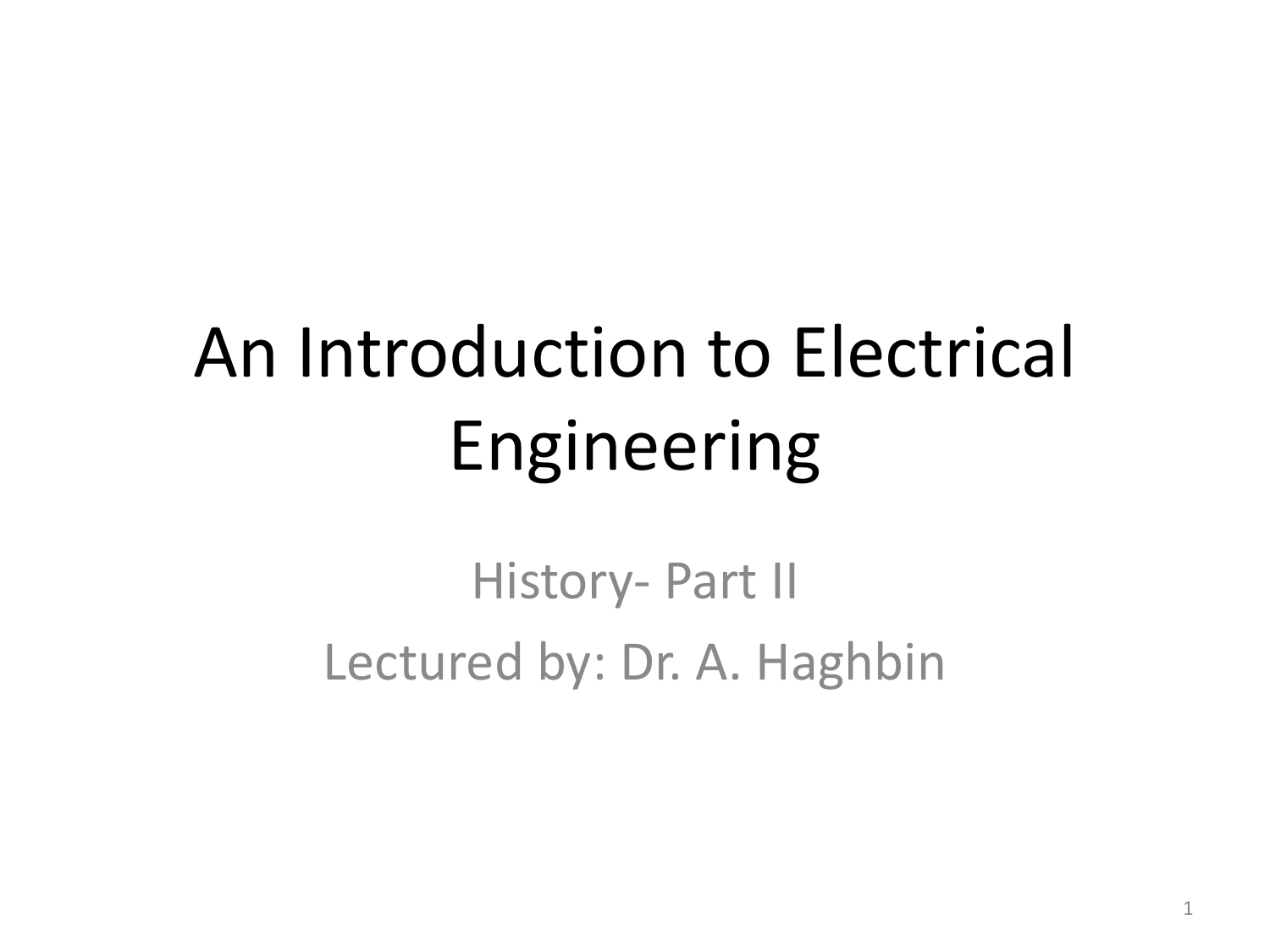# An Introduction to Electrical Engineering

History- Part II Lectured by: Dr. A. Haghbin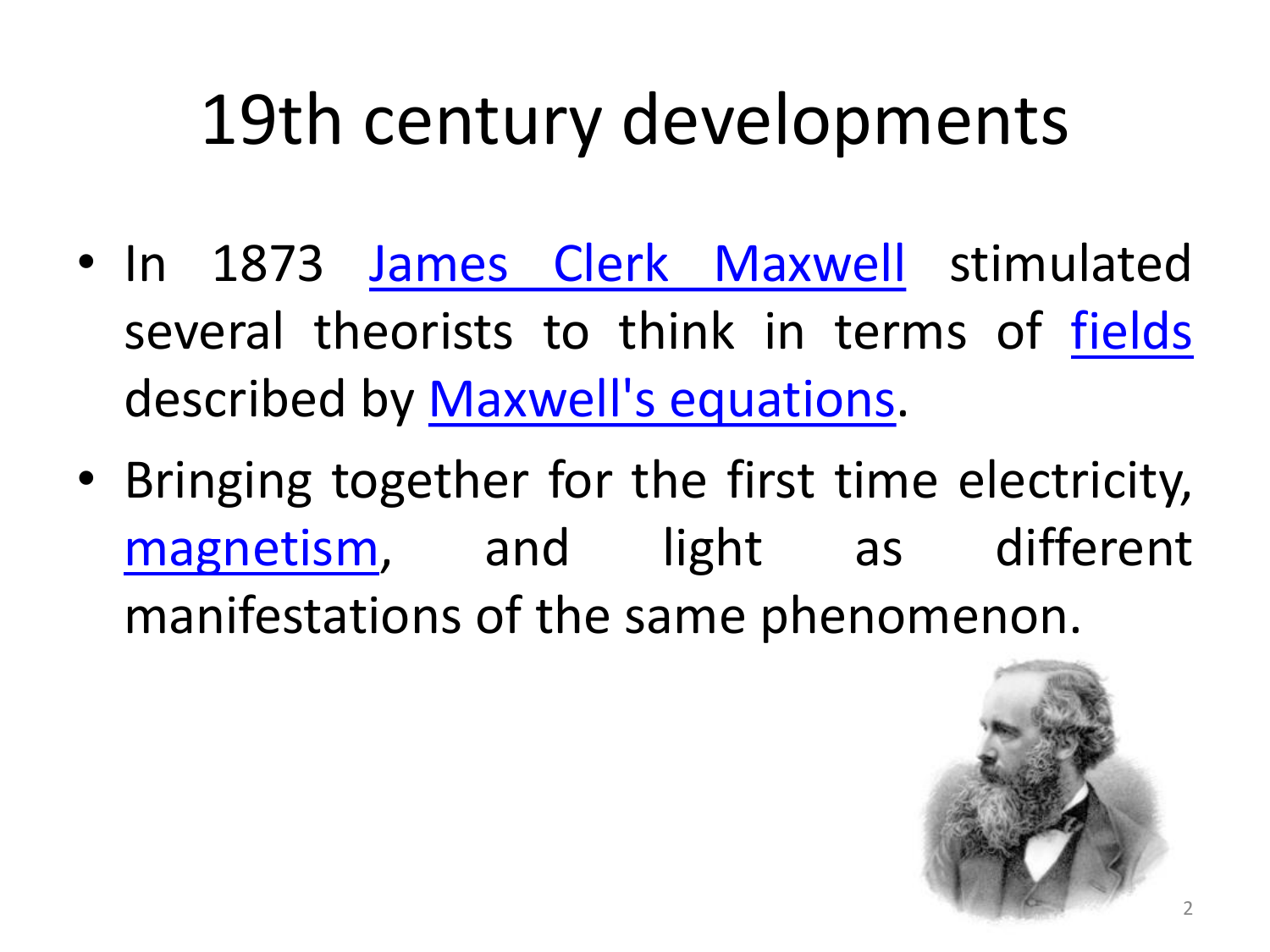- In 1873 James Clerk [Maxwell](https://en.wikipedia.org/wiki/James_Clerk_Maxwell) stimulated several theorists to think in terms of [fields](https://en.wikipedia.org/wiki/Field_(physics)) described by [Maxwell's](https://en.wikipedia.org/wiki/Maxwell) equations.
- Bringing together for the first time electricity, [magnetism](https://en.wikipedia.org/wiki/Magnetism), and light as different manifestations of the same phenomenon.

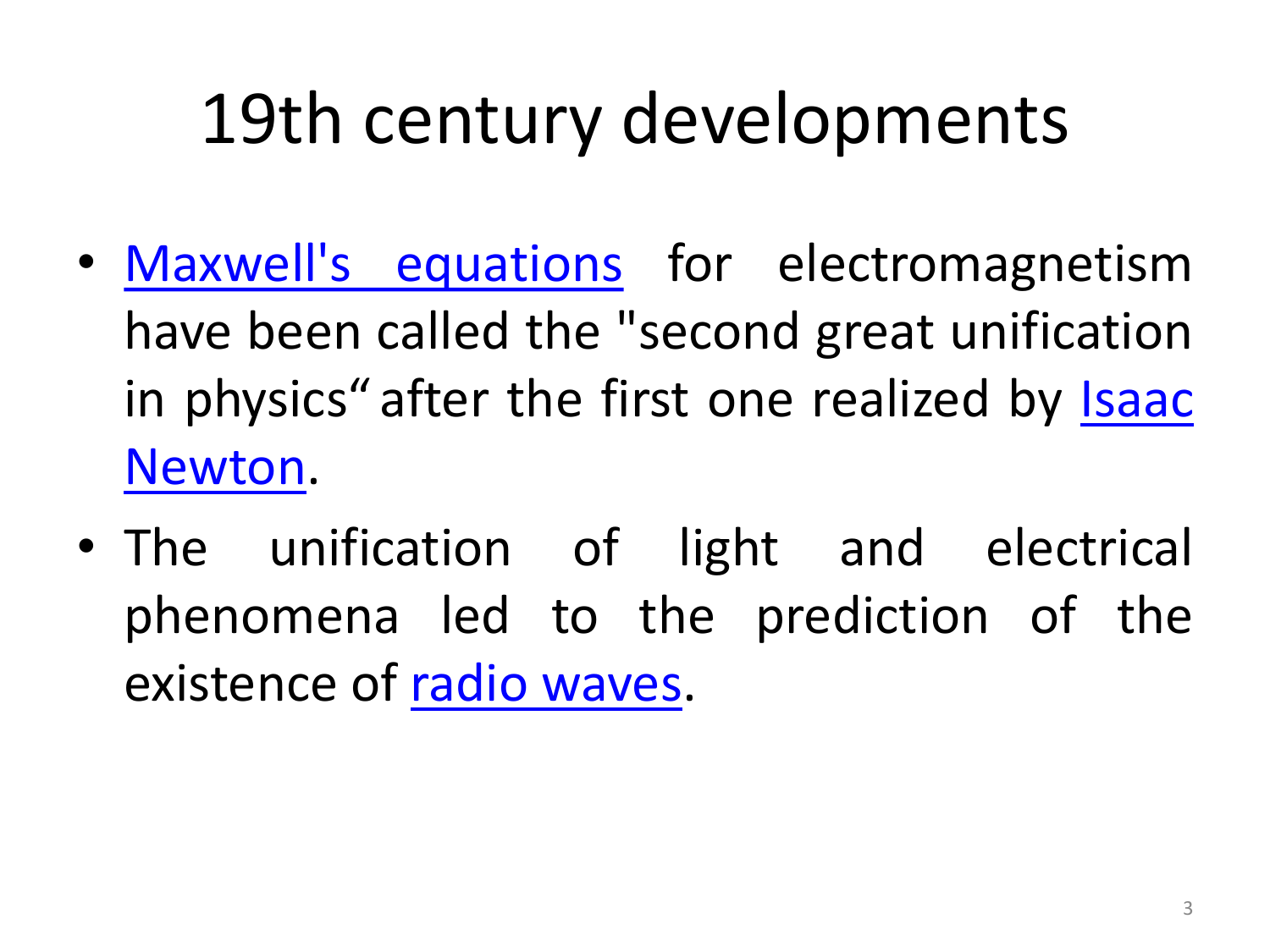- Maxwell's [equations](https://en.wikipedia.org/wiki/Maxwell) for electromagnetism have been called the "second great unification in physics" after the first one realized by Isaac [Newton.](https://en.wikipedia.org/wiki/Isaac_Newton)
- The unification of light and electrical phenomena led to the prediction of the existence of radio [waves.](https://en.wikipedia.org/wiki/Radio_waves)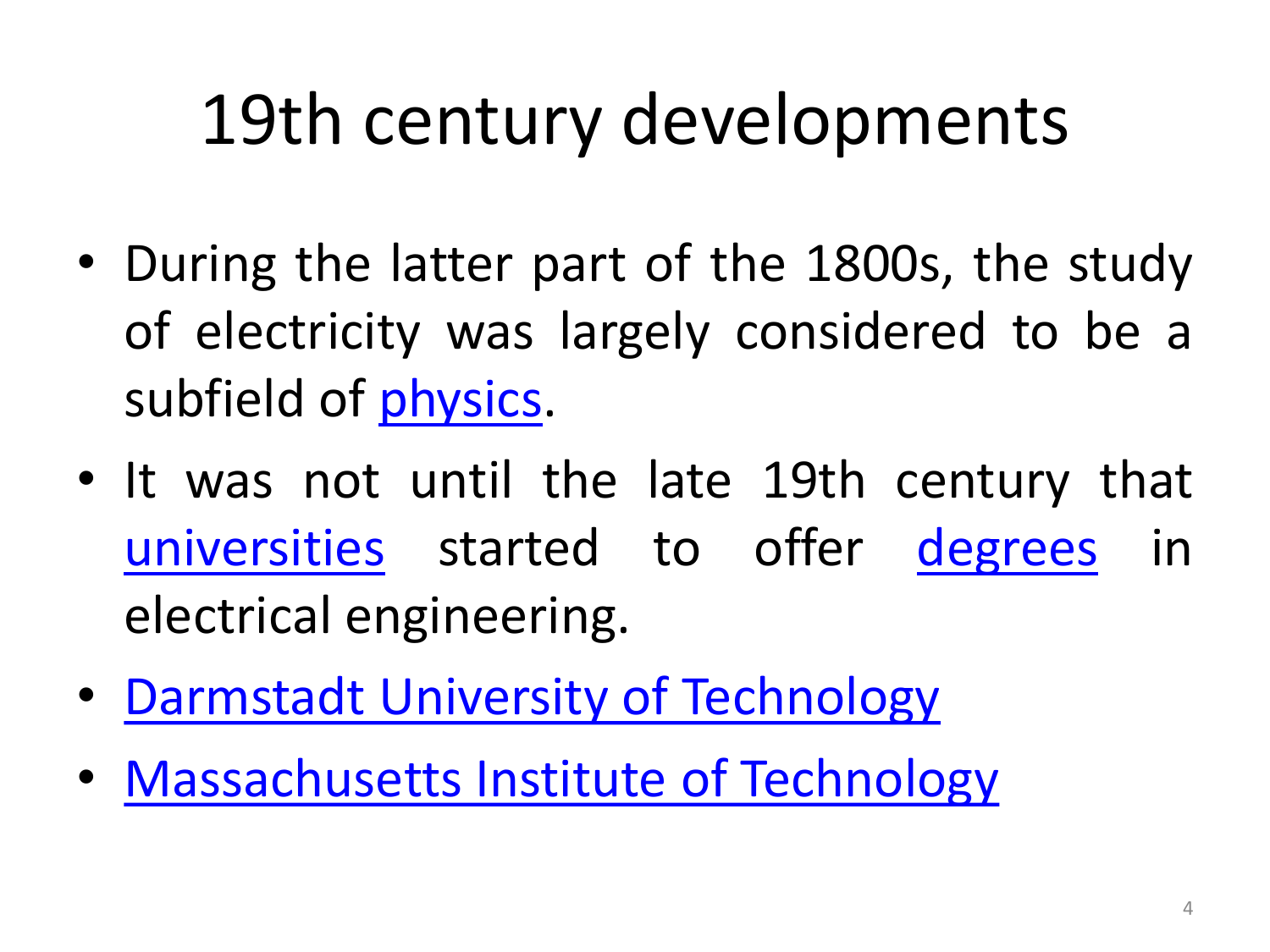- During the latter part of the 1800s, the study of electricity was largely considered to be a subfield of [physics.](https://en.wikipedia.org/wiki/Physics)
- It was not until the late 19th century that [universities](https://en.wikipedia.org/wiki/University) started to offer [degrees](https://en.wikipedia.org/wiki/Academic_degree) in electrical engineering.
- Darmstadt University of [Technology](https://en.wikipedia.org/wiki/Darmstadt_University_of_Technology)
- [Massachusetts](https://en.wikipedia.org/wiki/Massachusetts_Institute_of_Technology) Institute of Technology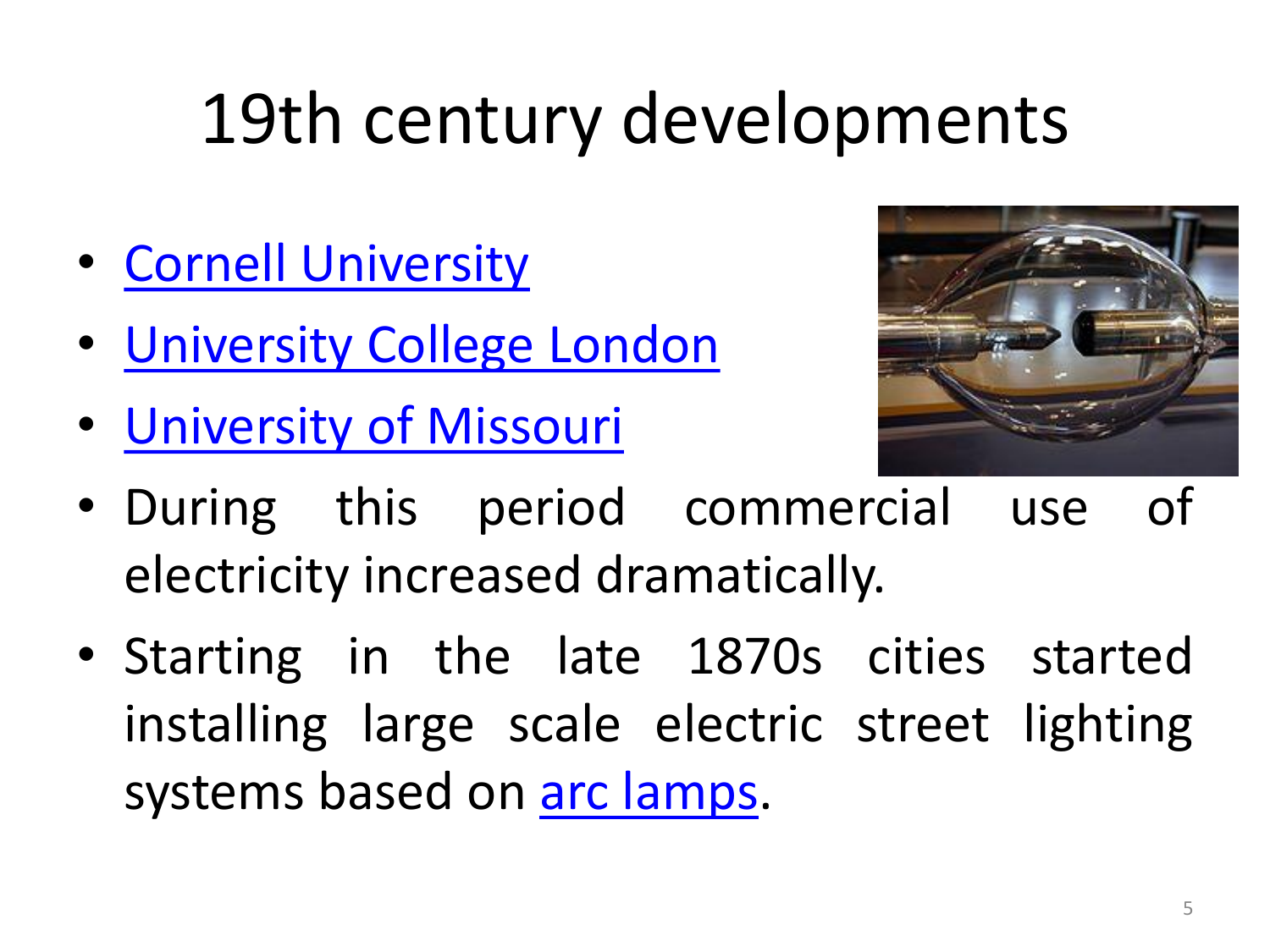- Cornell [University](https://en.wikipedia.org/wiki/Cornell_University)
- [University](https://en.wikipedia.org/wiki/University_College_London) College London
- [University](https://en.wikipedia.org/wiki/University_of_Missouri) of Missouri



- During this period commercial use of electricity increased dramatically.
- Starting in the late 1870s cities started installing large scale electric street lighting systems based on arc [lamps](https://en.wikipedia.org/wiki/Arc_lamp).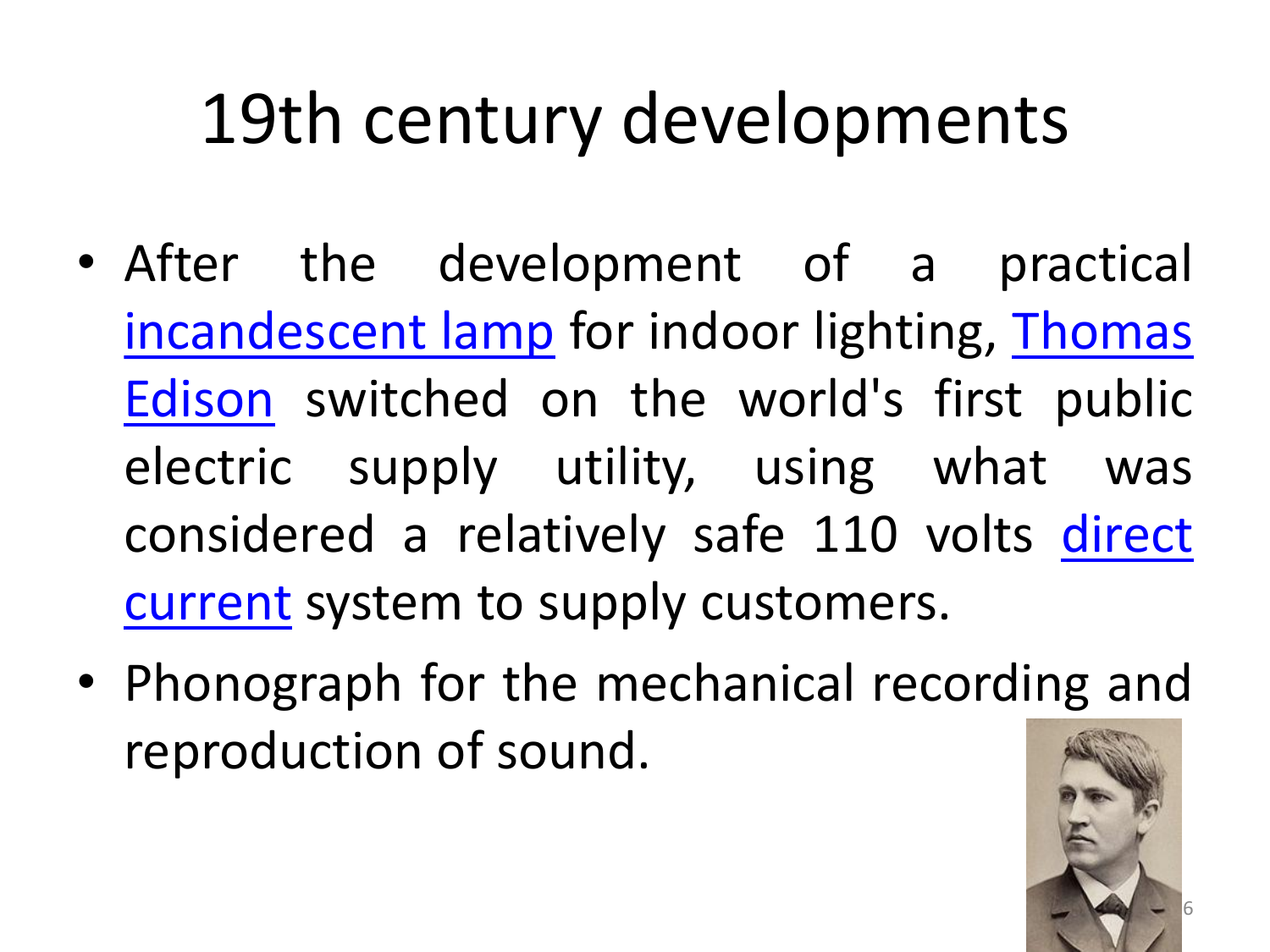- After the development of a practical [incandescent](https://en.wikipedia.org/wiki/Thomas_Edison) lamp for indoor lighting, Thomas Edison switched on the world's first public electric supply utility, using what was [considered](https://en.wikipedia.org/wiki/Direct_current) a relatively safe 110 volts direct current system to supply customers.
- Phonograph for the mechanical recording and reproduction of sound.

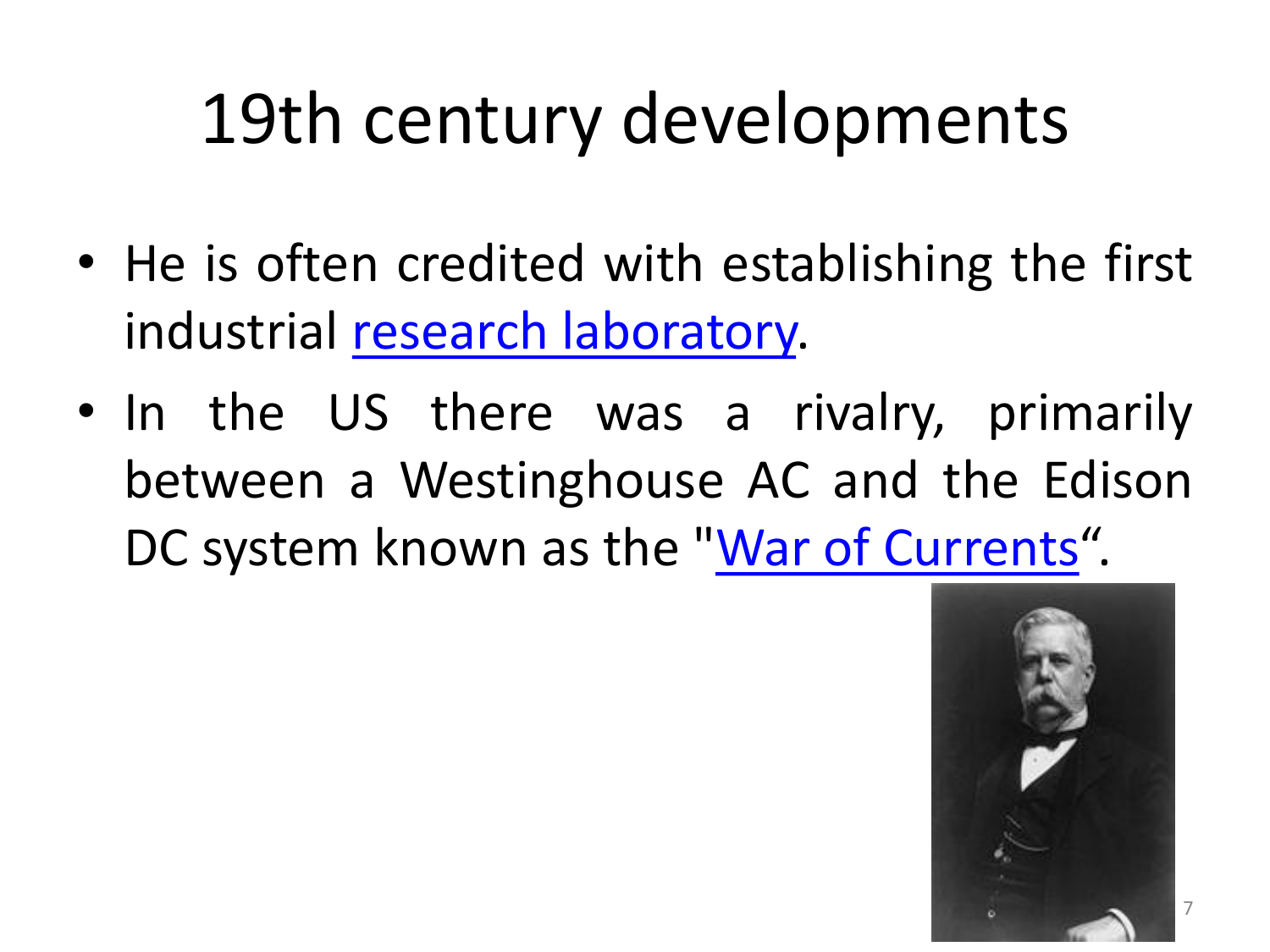- He is often credited with establishing the first industrial research [laboratory.](https://en.wikipedia.org/wiki/Research_laboratory)
- In the US there was a rivalry, primarily between a Westinghouse AC and the Edison DC system known as the "War of [Currents](https://en.wikipedia.org/wiki/War_of_Currents)".

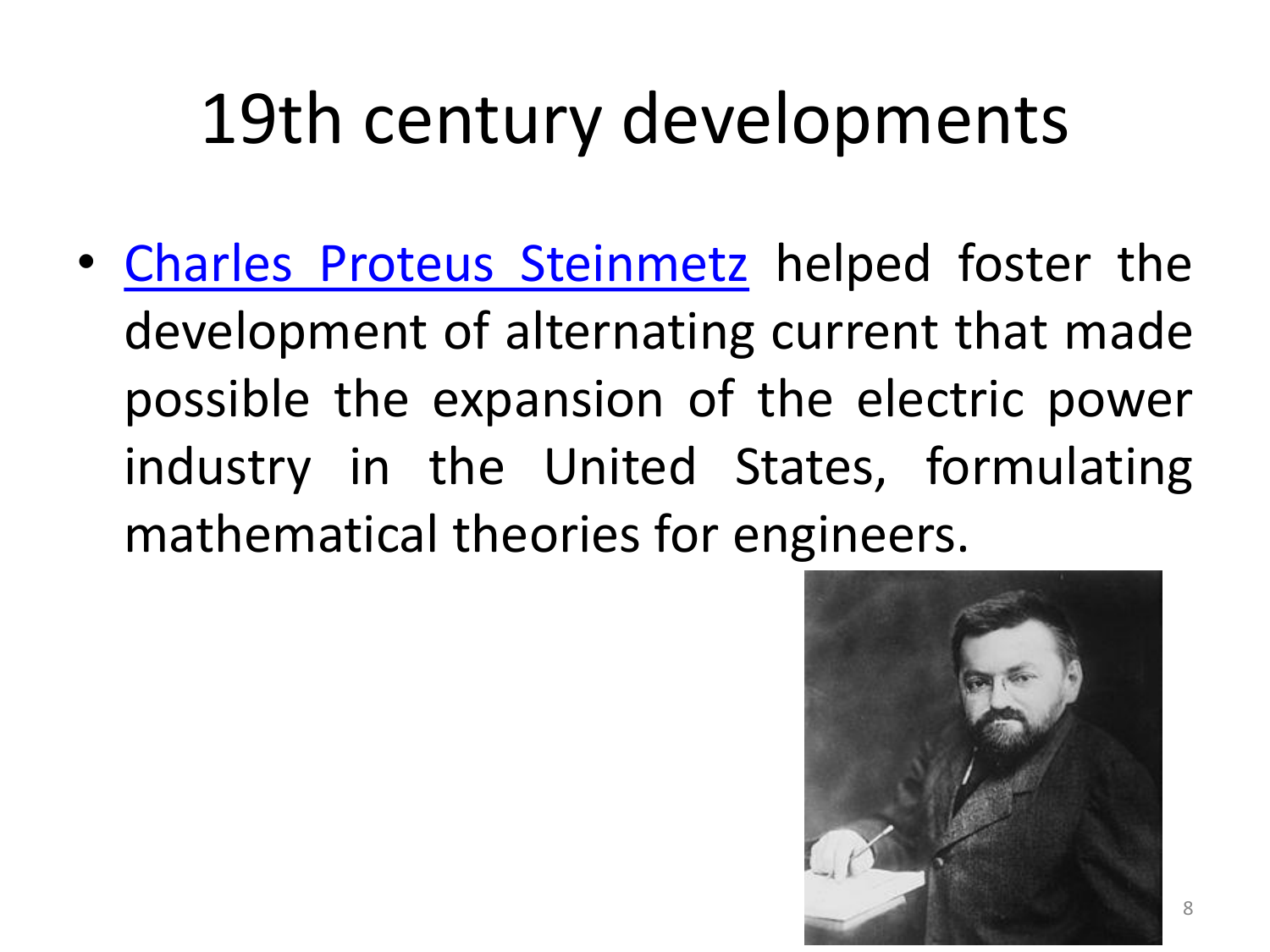• Charles Proteus [Steinmetz](https://en.wikipedia.org/wiki/Charles_Proteus_Steinmetz) helped foster the development of alternating current that made possible the expansion of the electric power industry in the United States, formulating mathematical theories for engineers.

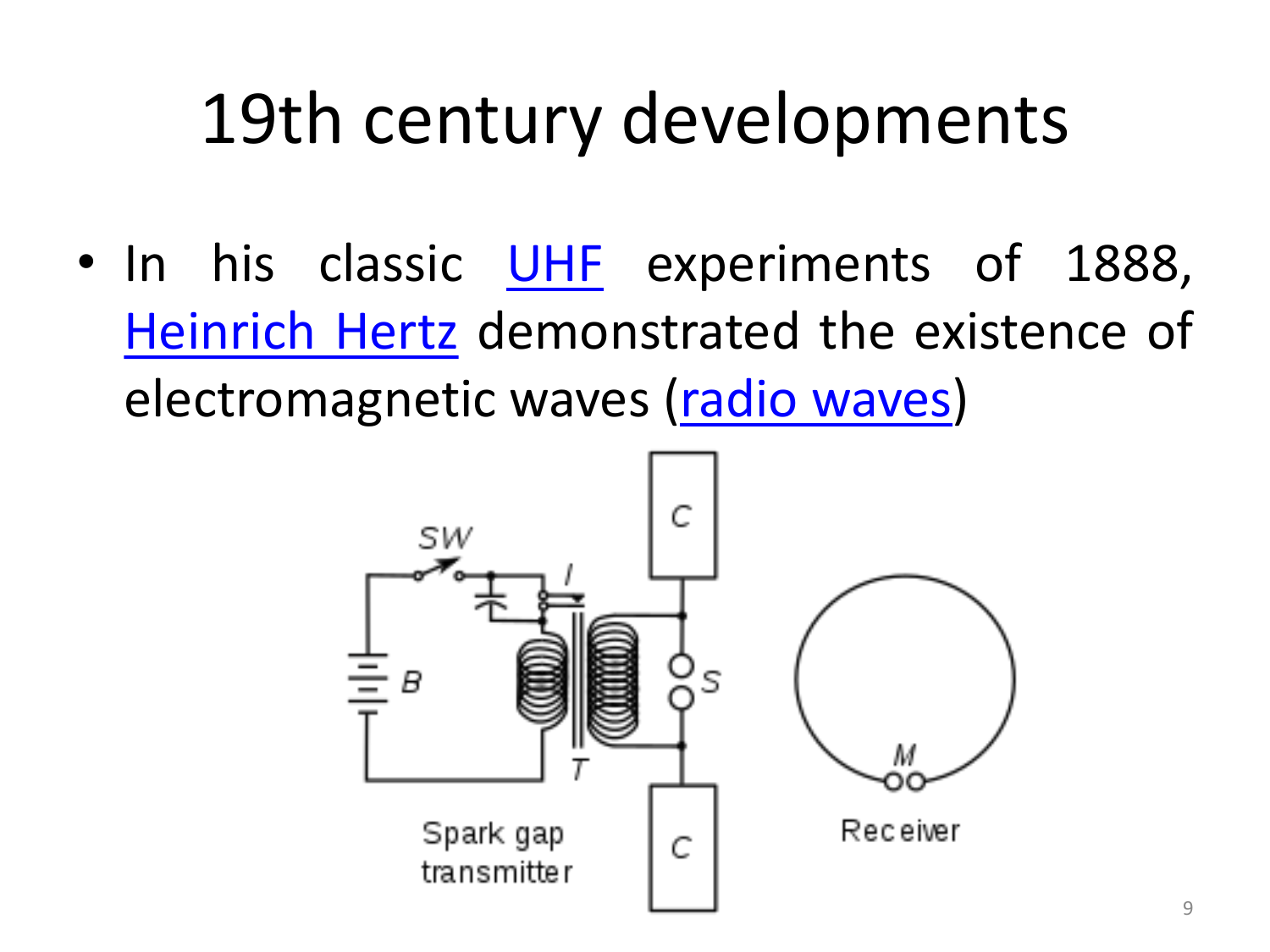• In his classic [UHF](https://en.wikipedia.org/wiki/Ultra_high_frequency) experiments of 1888, [Heinrich](https://en.wikipedia.org/wiki/Heinrich_Hertz) Hertz demonstrated the existence of electromagnetic waves (radio [waves\)](https://en.wikipedia.org/wiki/Radio_waves)

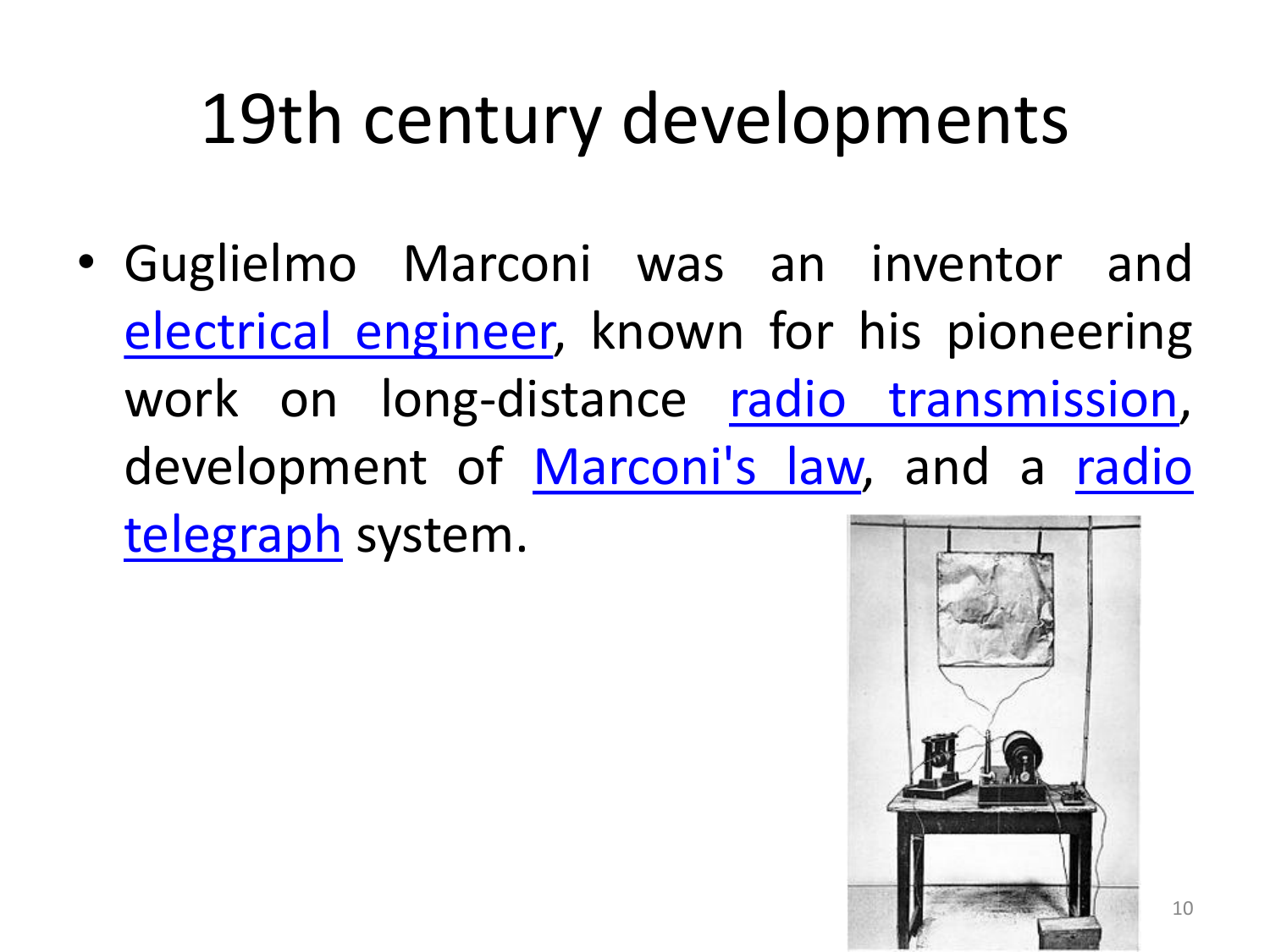• Guglielmo Marconi was an inventor and [electrical](https://en.wikipedia.org/wiki/Electrical_engineering) engineer, known for his pioneering work on long-distance radio [transmission,](https://en.wikipedia.org/wiki/Radio_transmission) [development](https://en.wikipedia.org/wiki/Radio_telegraph) of [Marconi's](https://en.wikipedia.org/wiki/Marconi) law, and a radio telegraph system.

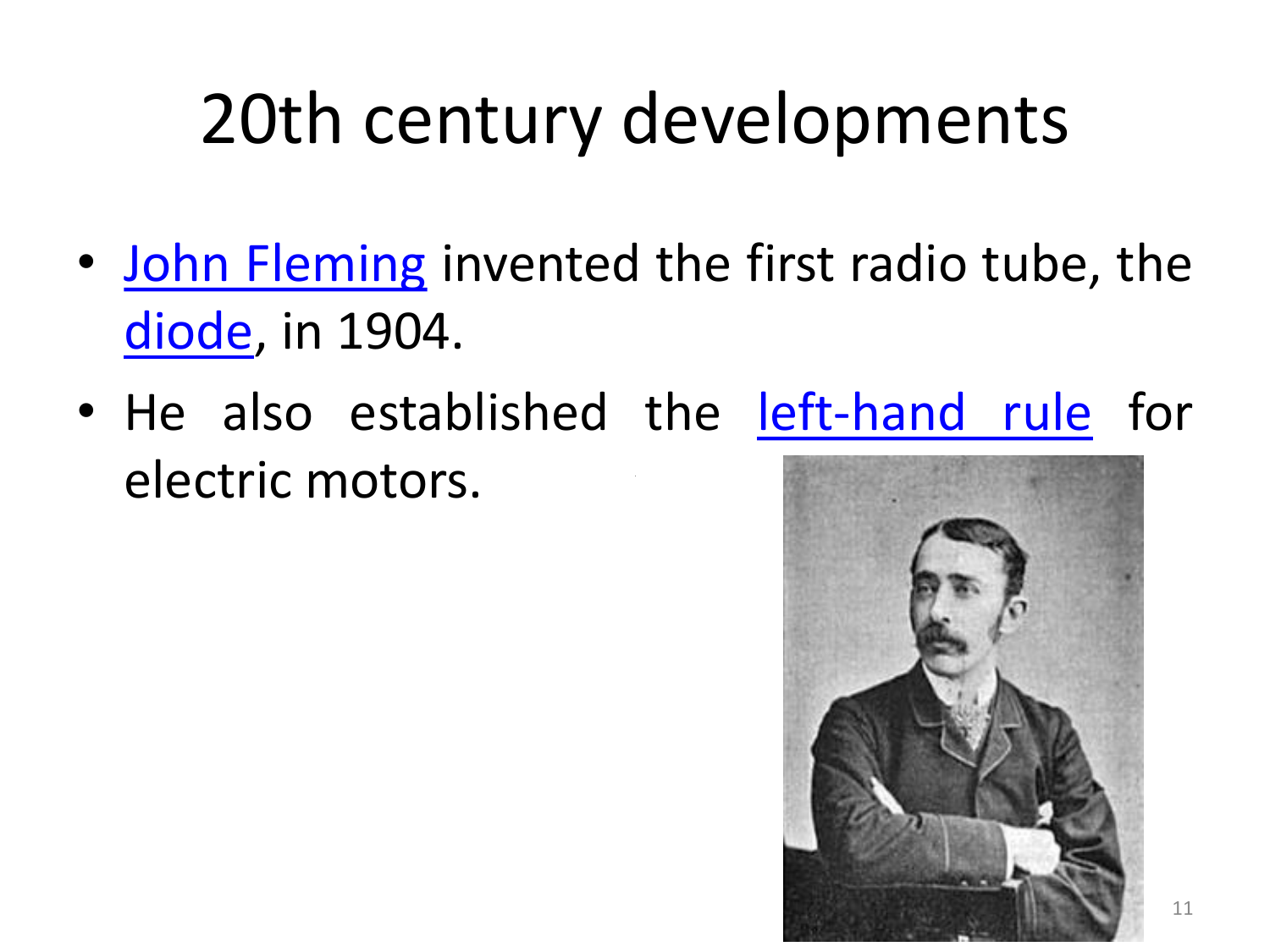- John [Fleming](https://en.wikipedia.org/wiki/John_Ambrose_Fleming) invented the first radio tube, the [diode](https://en.wikipedia.org/wiki/Vacuum_tube), in 1904.
- He also established the [left-hand](https://en.wikipedia.org/wiki/Fleming) rule for electric motors.

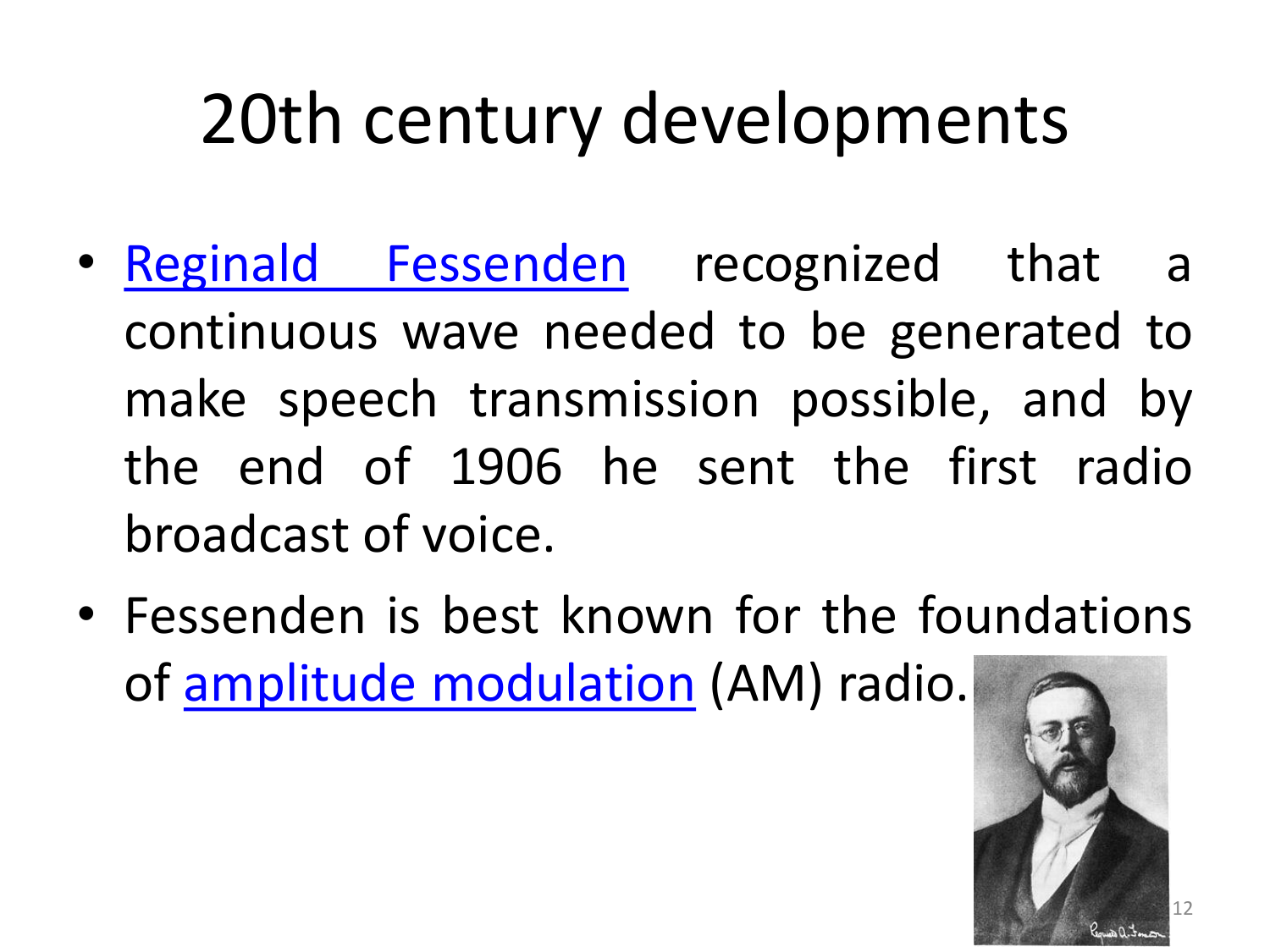- Reginald [Fessenden](https://en.wikipedia.org/wiki/Reginald_Fessenden) recognized that a continuous wave needed to be generated to make speech transmission possible, and by the end of 1906 he sent the first radio broadcast of voice.
- Fessenden is best known for the foundations of amplitude [modulation](https://en.wikipedia.org/wiki/Amplitude_modulation) (AM) radio.

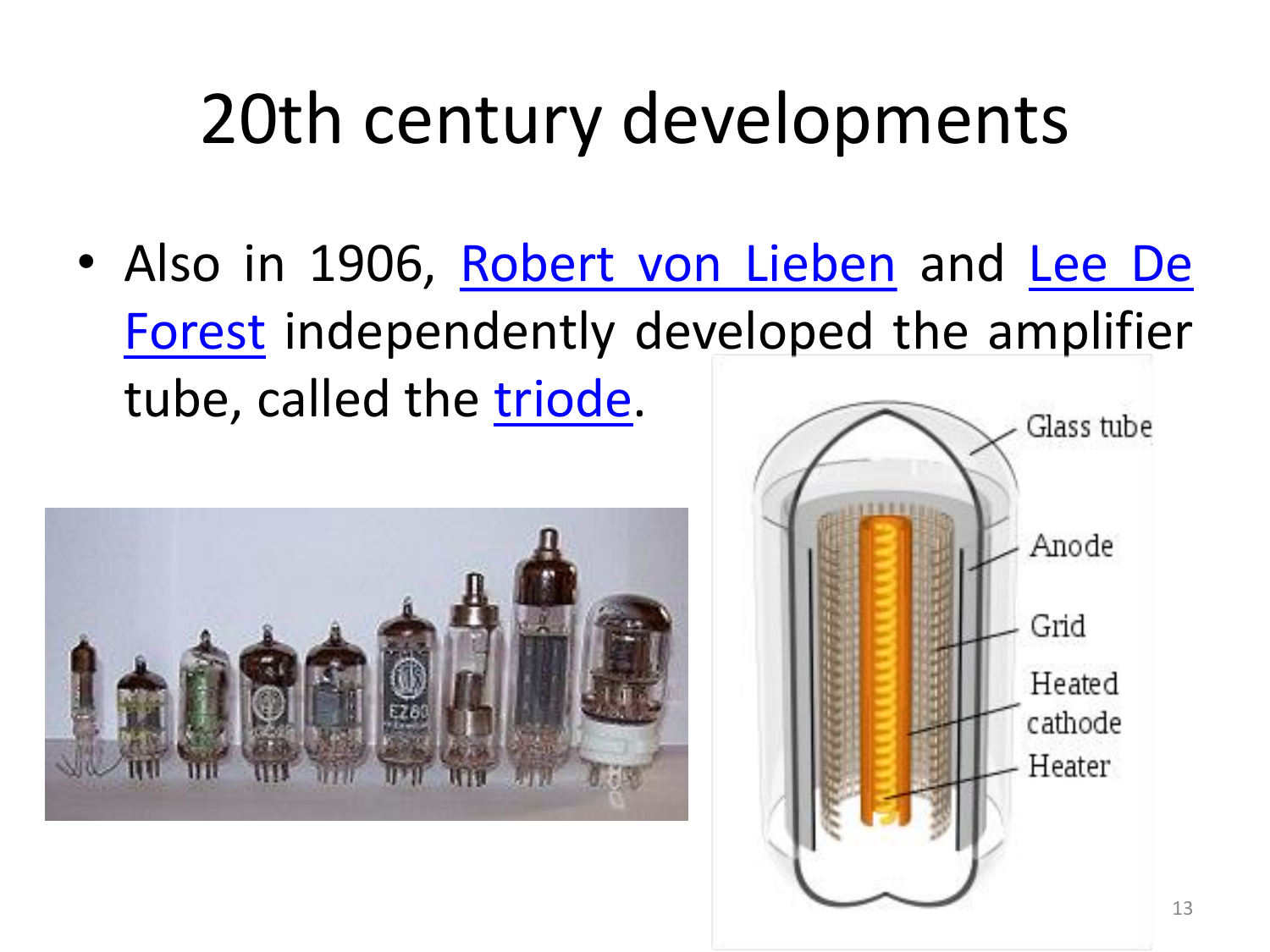• Also in 1906, [Robert](https://en.wikipedia.org/wiki/Robert_von_Lieben) von Lieben and Lee De Forest [independently](https://en.wikipedia.org/wiki/Lee_De_Forest) developed the amplifier tube, called the [triode.](https://en.wikipedia.org/wiki/Vacuum_tube)



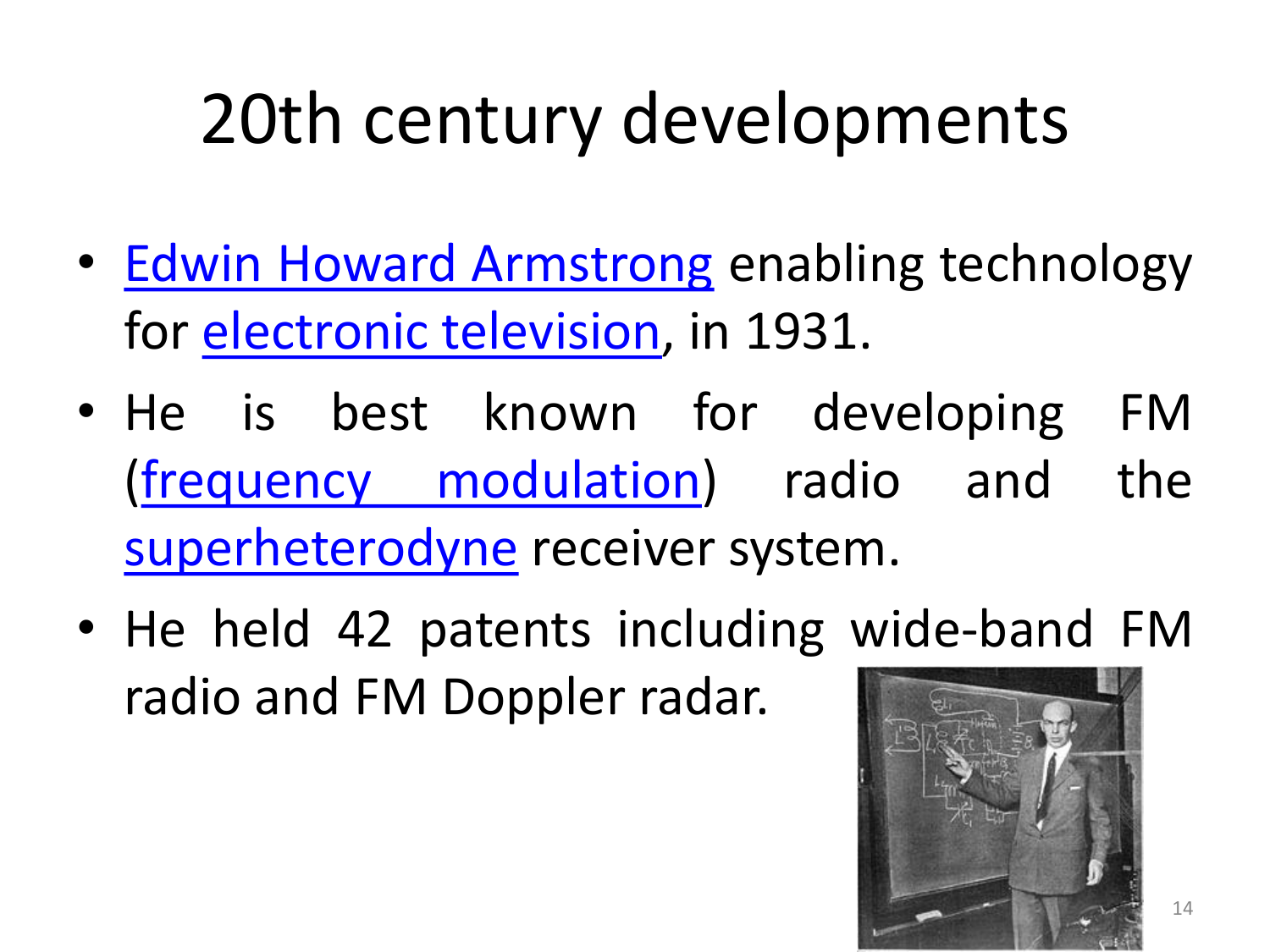- Edwin Howard [Armstrong](https://en.wikipedia.org/wiki/Edwin_Howard_Armstrong) enabling technology for [electronic](https://en.wikipedia.org/wiki/Television) television, in 1931.
- He is best known for developing FM (frequency [modulation\)](https://en.wikipedia.org/wiki/Frequency_modulation) radio and the [superheterodyne](https://en.wikipedia.org/wiki/Superheterodyne) receiver system.
- He held 42 patents including wide-band FM radio and FM Doppler radar.

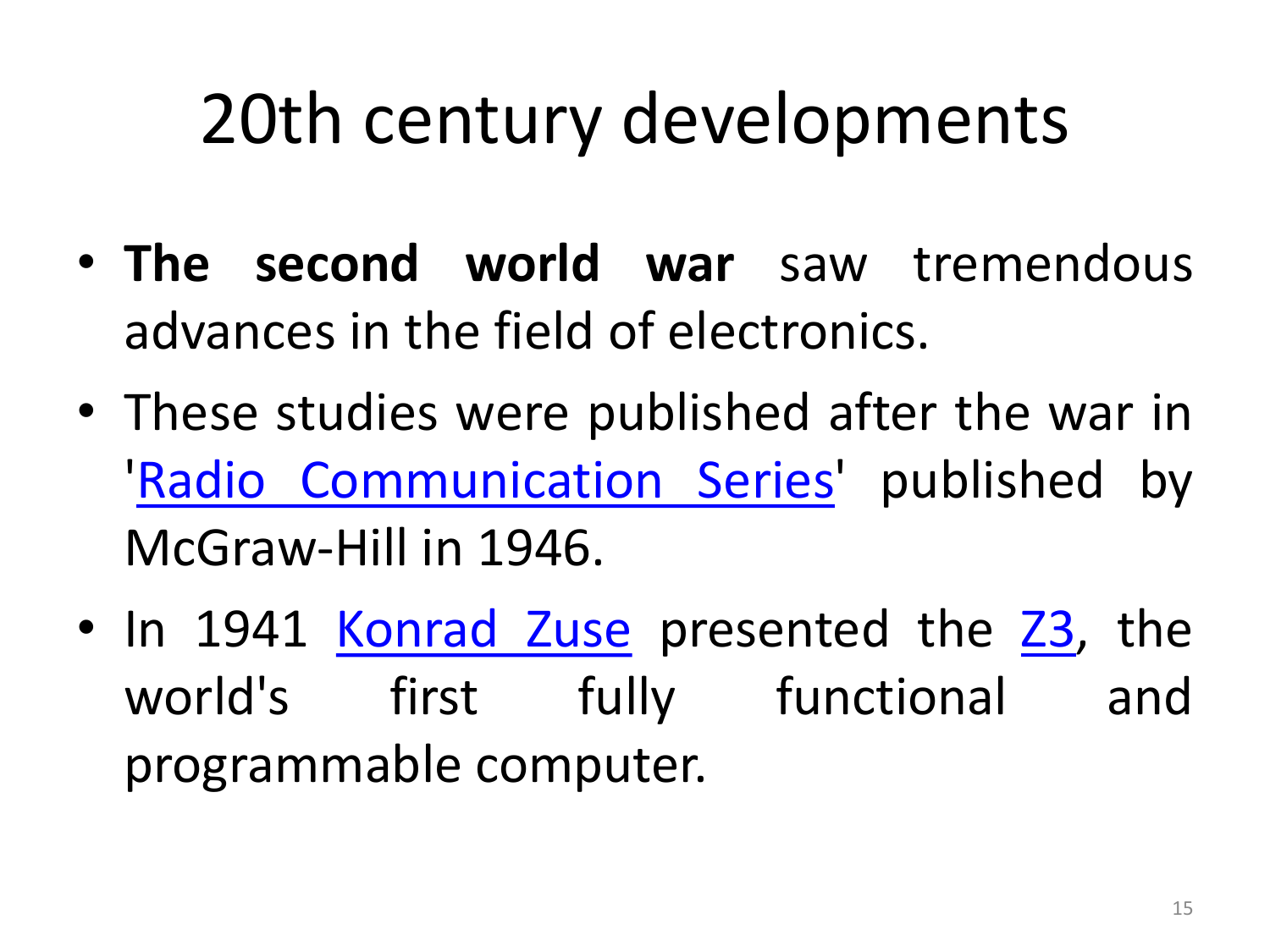- **The second world war** saw tremendous advances in the field of electronics.
- These studies were published after the war in 'Radio [Communication](https://en.wikipedia.org/w/index.php?title=Radio_Communication_Series&action=edit&redlink=1) Series' published by McGraw-Hill in 1946.
- In 1941 [Konrad](https://en.wikipedia.org/wiki/Konrad_Zuse) Zuse presented the [Z3](https://en.wikipedia.org/wiki/Z3_(computer)), the world's first fully functional and programmable computer.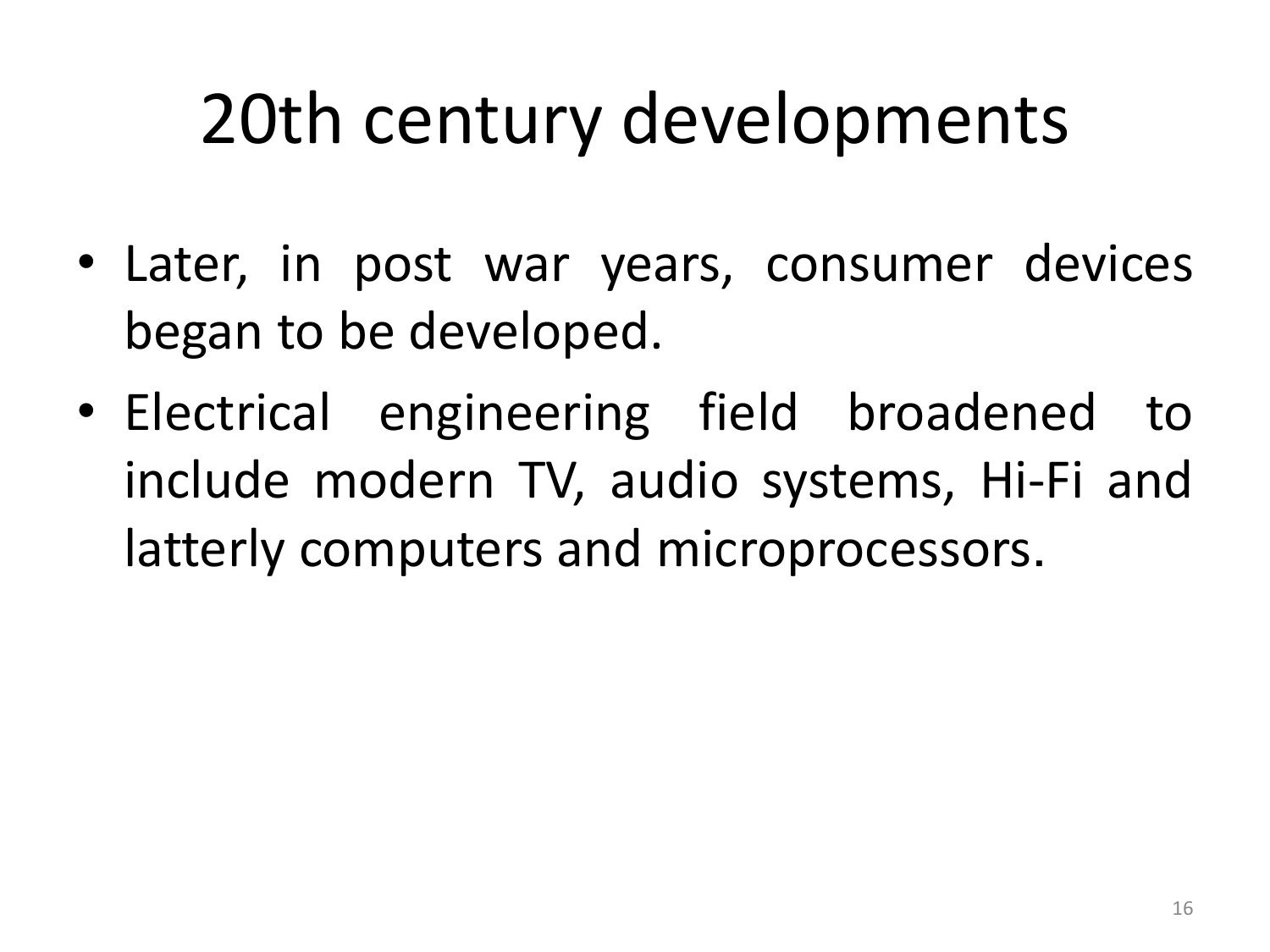- Later, in post war years, consumer devices began to be developed.
- Electrical engineering field broadened to include modern TV, audio systems, Hi-Fi and latterly computers and microprocessors.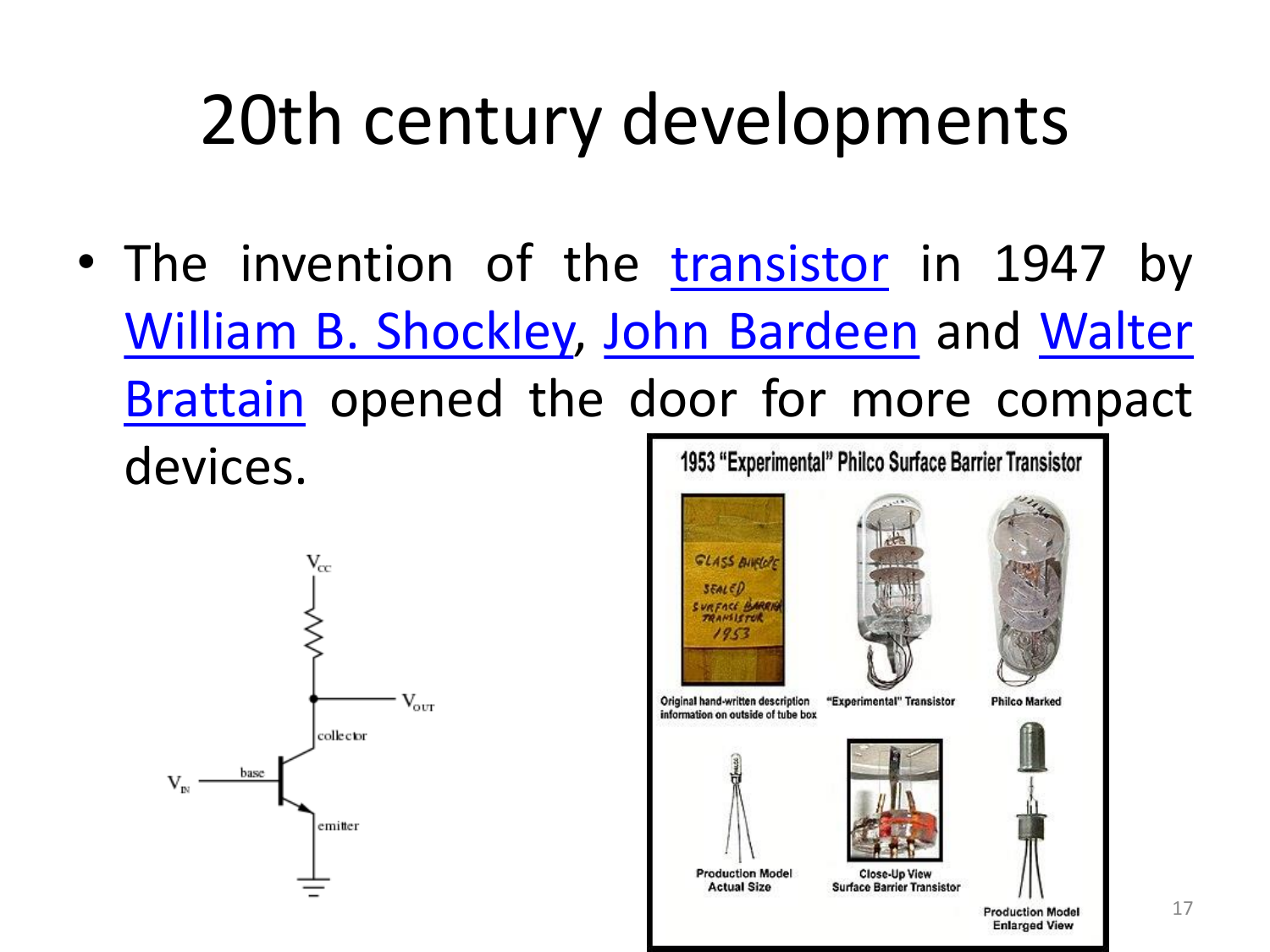• The invention of the [transistor](https://en.wikipedia.org/wiki/Transistor) in 1947 by William B. [Shockley,](https://en.wikipedia.org/wiki/Walter_Brattain) John [Bardeen](https://en.wikipedia.org/wiki/John_Bardeen) and Walter Brattain opened the door for more compact devices. 1953 "Experimental" Philco Surface Barrier Transistor



**GLASS BINGLES**  $350150$ **URFACE BARRI** TRANSISTOR  $1953$ Original hand-written description "Experimental" Transistor **Philco Marked** information on outside of tube box **Production Model Close-Up View Surface Barrier Transistor Actual Size Production Model Enlarged View**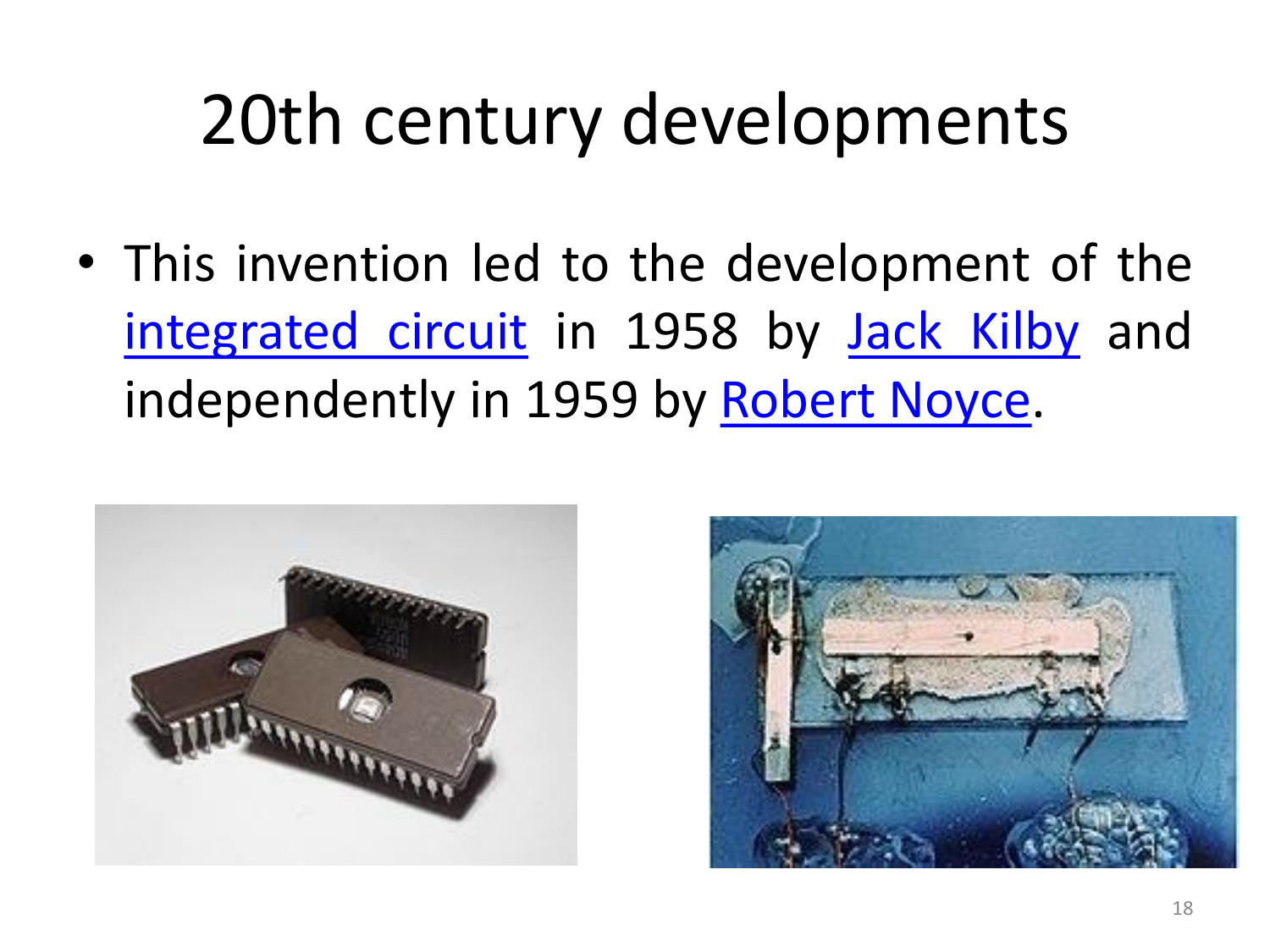• This invention led to the development of the [integrated](https://en.wikipedia.org/wiki/Integrated_circuit) circuit in 1958 by Jack [Kilby](https://en.wikipedia.org/wiki/Jack_Kilby) and independently in 1959 by [Robert](https://en.wikipedia.org/wiki/Robert_Noyce) Noyce.



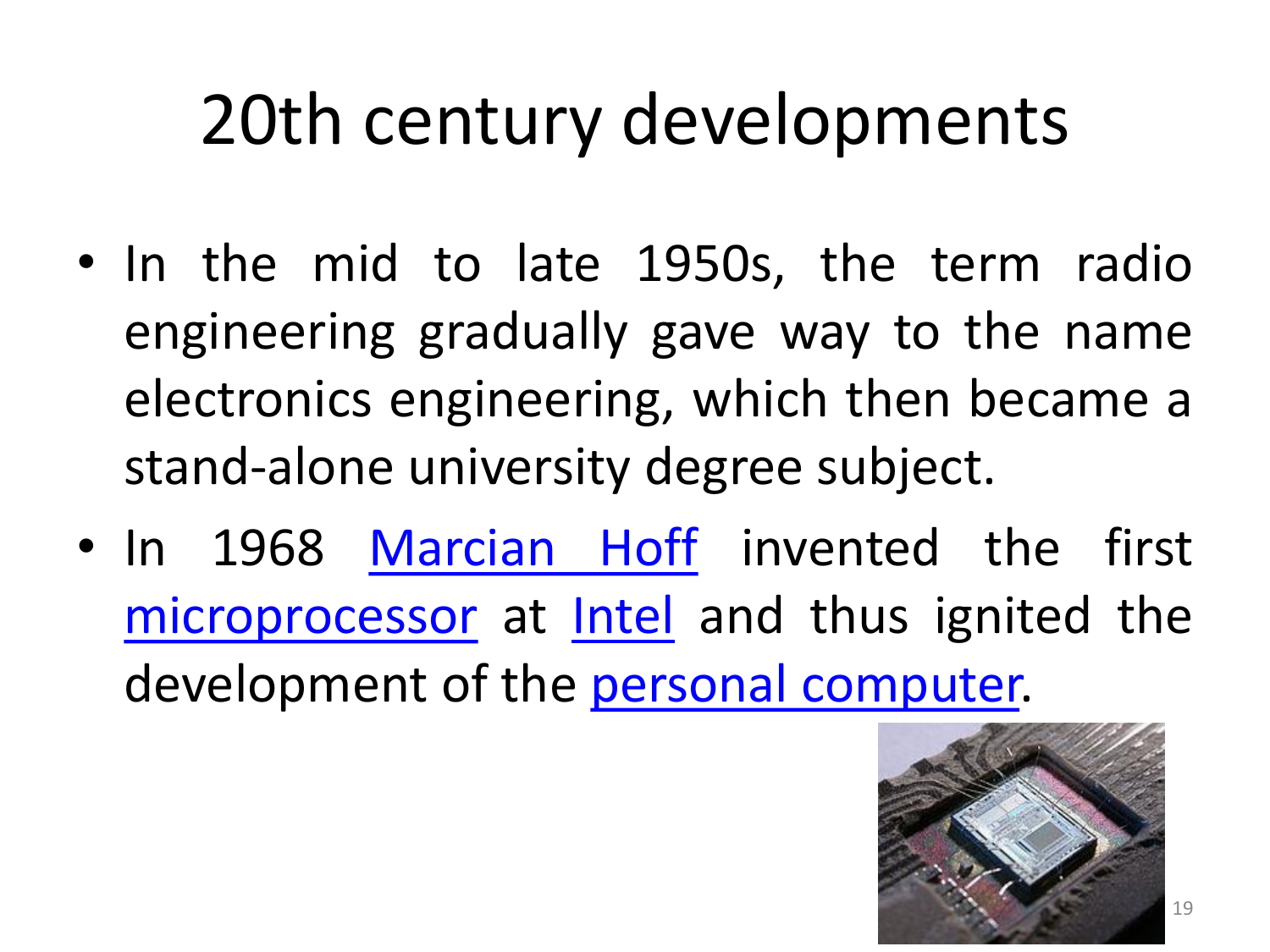- In the mid to late 1950s, the term radio engineering gradually gave way to the name electronics engineering, which then became a stand-alone university degree subject.
- In 1968 [Marcian](https://en.wikipedia.org/wiki/Marcian_Hoff) Hoff invented the first [microprocessor](https://en.wikipedia.org/wiki/Microprocessor) at [Intel](https://en.wikipedia.org/wiki/Intel) and thus ignited the development of the personal [computer.](https://en.wikipedia.org/wiki/Personal_computer)

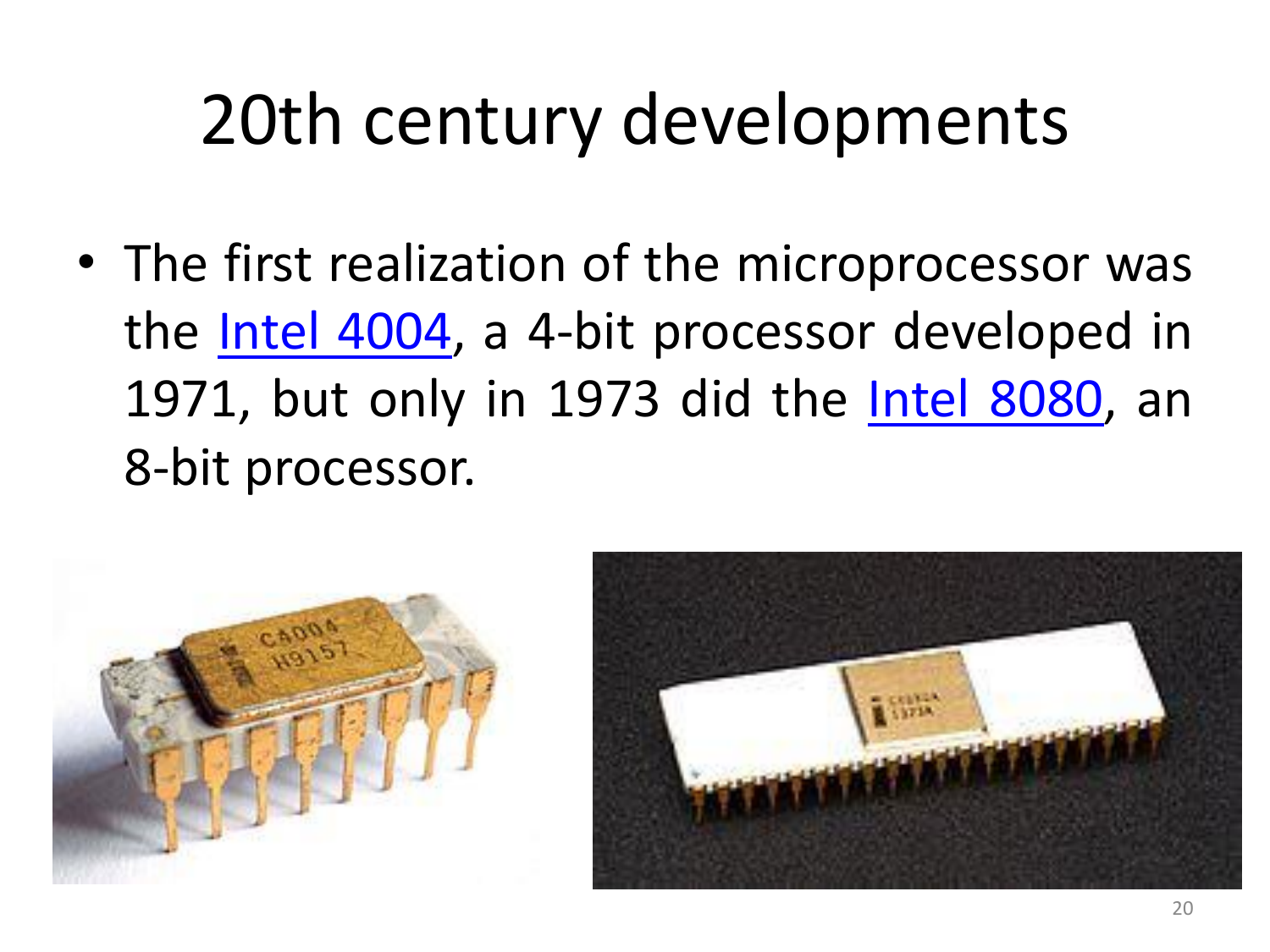• The first realization of the microprocessor was the Intel [4004](https://en.wikipedia.org/wiki/Intel_4004), a 4-bit processor developed in 1971, but only in 1973 did the Intel [8080,](https://en.wikipedia.org/wiki/Intel_8080) an 8-bit processor.